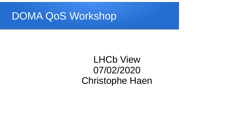#### DOMA QoS Workshop

LHCb View 07/02/2020 Christophe Haen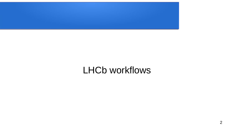

#### LHCb workflows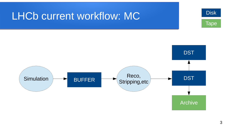#### LHCb current workflow: MC



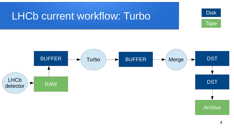### LHCb current workflow: Turbo





Archive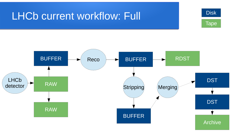#### LHCb current workflow: Full



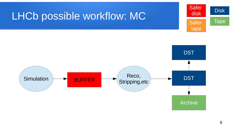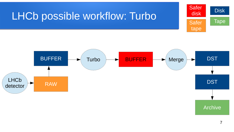### LHCb possible workflow: Turbo





Archive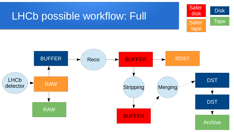#### LHCb possible workflow: Full



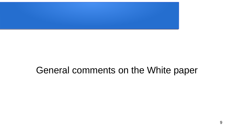

#### General comments on the White paper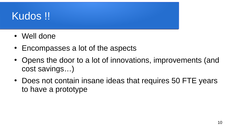# Kudos !!

- Well done
- $\cdot$  Encompasses a lot of the aspects
- Opens the door to a lot of innovations, improvements (and cost savings…)
- Does not contain insane ideas that requires 50 FTE years to have a prototype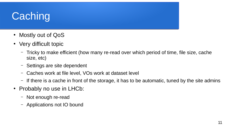# **Caching**

- Mostly out of QoS
- Very difficult topic
	- Tricky to make efficient (how many re-read over which period of time, file size, cache size, etc)
	- Settings are site dependent
	- Caches work at file level, VOs work at dataset level
	- If there is a cache in front of the storage, it has to be automatic, tuned by the site admins
- Probably no use in LHCb:
	- Not enough re-read
	- Applications not IO bound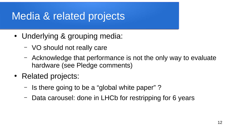# Media & related projects

- Underlying & grouping media:
	- VO should not really care
	- Acknowledge that performance is not the only way to evaluate hardware (see Pledge comments)
- Related projects:
	- Is there going to be a "global white paper" ?
	- Data carousel: done in LHCb for restripping for 6 years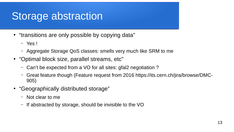### Storage abstraction

- "transitions are only possible by copying data"
	- Yes !
	- Aggregate Storage QoS classes: smells very much like SRM to me
- "Optimal block size, parallel streams, etc"
	- Can't be expected from a VO for all sites: gfal2 negotiation ?
	- Great feature though (Feature request from 2016 https://its.cern.ch/jira/browse/DMC-905)
- "Geographically distributed storage"
	- Not clear to me
	- If abstracted by storage, should be invisible to the VO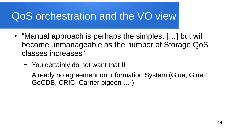# QoS orchestration and the VO view

- "Manual approach is perhaps the simplest [...] but will become unmanageable as the number of Storage QoS classes increases"
	- You certainly do not want that !!
	- Already no agreement on Information System (Glue, Glue2, GoCDB, CRIC, Carrier pigeon … )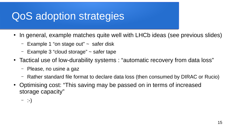# QoS adoption strategies

- In general, example matches quite well with LHCb ideas (see previous slides)
	- $-$  Example 1 "on stage out"  $\sim$  safer disk
	- $-$  Example 3 "cloud storage"  $\sim$  safer tape
- Tactical use of low-durability systems : "automatic recovery from data loss"
	- Please, no usine a gaz
	- Rather standard file format to declare data loss (then consumed by DIRAC or Rucio)
- Optimising cost: "This saving may be passed on in terms of increased storage capacity"

 $-$  :-)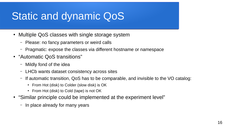# Static and dynamic QoS

- Multiple QoS classes with single storage system
	- Please: no fancy parameters or weird calls
	- Pragmatic: expose the classes via different hostname or namespace
- "Automatic QoS transitions"
	- Mildly fond of the idea
	- LHCb wants dataset consistency across sites
	- If automatic transition, QoS has to be comparable, and invisible to the VO catalog:
		- From Hot (disk) to Colder (slow disk) is OK
		- From Hot (disk) to Cold (tape) is not OK
- "Similar principle could be implemented at the experiment level"
	- In place already for many years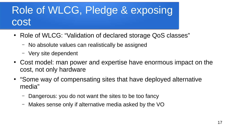# Role of WLCG, Pledge & exposing cost

- Role of WLCG: "Validation of declared storage QoS classes"
	- No absolute values can realistically be assigned
	- Very site dependent
- Cost model: man power and expertise have enormous impact on the cost, not only hardware
- "Some way of compensating sites that have deployed alternative media"
	- Dangerous: you do not want the sites to be too fancy
	- Makes sense only if alternative media asked by the VO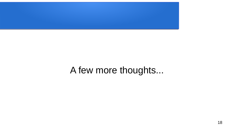

#### A few more thoughts...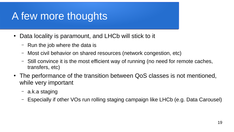# A few more thoughts

- Data locality is paramount, and LHCb will stick to it
	- Run the job where the data is
	- Most civil behavior on shared resources (network congestion, etc)
	- Still convince it is the most efficient way of running (no need for remote caches, transfers, etc)
- The performance of the transition between QoS classes is not mentioned, while very important
	- a.k.a staging
	- Especially if other VOs run rolling staging campaign like LHCb (e.g. Data Carousel)